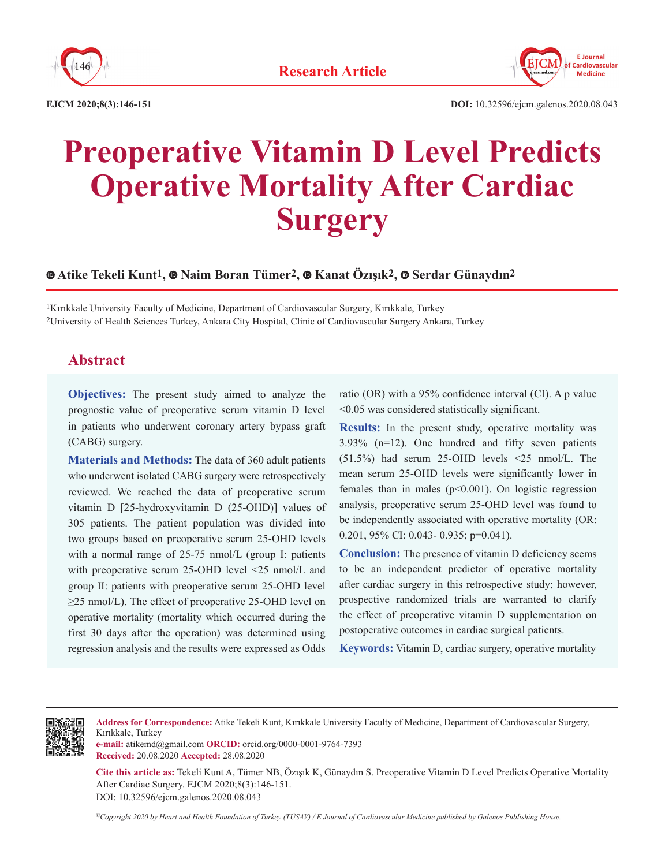



**EJCM 2020;8(3):146-151**

# **Preoperative Vitamin D Level Predicts Operative Mortality After Cardiac Surgery**

## **Atike Tekeli Kunt1, Naim Boran Tümer2, Kanat Özışık2, Serdar Günaydın2**

<sup>1</sup>Kırıkkale University Faculty of Medicine, Department of Cardiovascular Surgery, Kırıkkale, Turkey 2University of Health Sciences Turkey, Ankara City Hospital, Clinic of Cardiovascular Surgery Ankara, Turkey

## **Abstract**

**Objectives:** The present study aimed to analyze the prognostic value of preoperative serum vitamin D level in patients who underwent coronary artery bypass graft (CABG) surgery.

**Materials and Methods:** The data of 360 adult patients who underwent isolated CABG surgery were retrospectively reviewed. We reached the data of preoperative serum vitamin D [25-hydroxyvitamin D (25-OHD)] values of 305 patients. The patient population was divided into two groups based on preoperative serum 25-OHD levels with a normal range of 25-75 nmol/L (group I: patients with preoperative serum 25-OHD level <25 nmol/L and group II: patients with preoperative serum 25-OHD level ≥25 nmol/L). The effect of preoperative 25-OHD level on operative mortality (mortality which occurred during the first 30 days after the operation) was determined using regression analysis and the results were expressed as Odds ratio (OR) with a 95% confidence interval (CI). A p value <0.05 was considered statistically significant.

**Results:** In the present study, operative mortality was 3.93% (n=12). One hundred and fifty seven patients (51.5%) had serum 25-OHD levels <25 nmol/L. The mean serum 25-OHD levels were significantly lower in females than in males  $(p<0.001)$ . On logistic regression analysis, preoperative serum 25-OHD level was found to be independently associated with operative mortality (OR: 0.201, 95% CI: 0.043- 0.935; p=0.041).

**Conclusion:** The presence of vitamin D deficiency seems to be an independent predictor of operative mortality after cardiac surgery in this retrospective study; however, prospective randomized trials are warranted to clarify the effect of preoperative vitamin D supplementation on postoperative outcomes in cardiac surgical patients.

**Keywords:** Vitamin D, cardiac surgery, operative mortality



**Address for Correspondence:** Atike Tekeli Kunt, Kırıkkale University Faculty of Medicine, Department of Cardiovascular Surgery, Kırıkkale, Turkey

**e-mail:** atikemd@gmail.com **ORCID:** orcid.org/0000-0001-9764-7393 **Received:** 20.08.2020 **Accepted:** 28.08.2020

**Cite this article as:** Tekeli Kunt A, Tümer NB, Özışık K, Günaydın S. Preoperative Vitamin D Level Predicts Operative Mortality After Cardiac Surgery. EJCM 2020;8(3):146-151. DOI: 10.32596/ejcm.galenos.2020.08.043

*©Copyright 2020 by Heart and Health Foundation of Turkey (TÜSAV) / E Journal of Cardiovascular Medicine published by Galenos Publishing House.*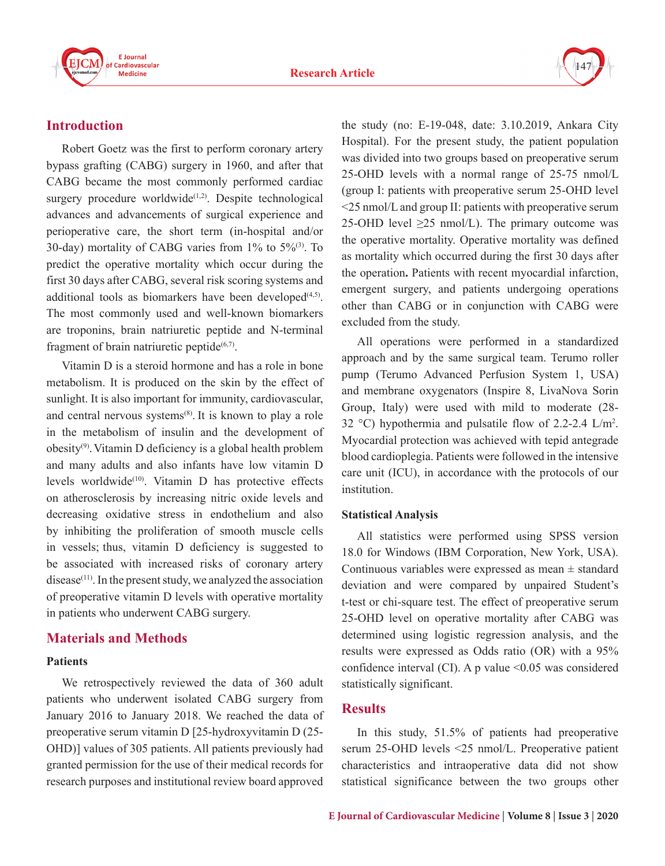



## **Introduction**

Robert Goetz was the first to perform coronary artery bypass grafting (CABG) surgery in 1960, and after that CABG became the most commonly performed cardiac surgery procedure worldwide<sup> $(1,2)$ </sup>. Despite technological advances and advancements of surgical experience and perioperative care, the short term (in-hospital and/or 30-day) mortality of CABG varies from  $1\%$  to  $5\%$ <sup>(3)</sup>. To predict the operative mortality which occur during the first 30 days after CABG, several risk scoring systems and additional tools as biomarkers have been developed $(4,5)$ . The most commonly used and well-known biomarkers are troponins, brain natriuretic peptide and N-terminal fragment of brain natriuretic peptide $(6,7)$ .

Vitamin D is a steroid hormone and has a role in bone metabolism. It is produced on the skin by the effect of sunlight. It is also important for immunity, cardiovascular, and central nervous systems<sup>(8)</sup>. It is known to play a role in the metabolism of insulin and the development of obesity(9).Vitamin D deficiency is a global health problem and many adults and also infants have low vitamin D levels worldwide(10). Vitamin D has protective effects on atherosclerosis by increasing nitric oxide levels and decreasing oxidative stress in endothelium and also by inhibiting the proliferation of smooth muscle cells in vessels; thus, vitamin D deficiency is suggested to be associated with increased risks of coronary artery  $disease<sup>(11)</sup>$ . In the present study, we analyzed the association of preoperative vitamin D levels with operative mortality in patients who underwent CABG surgery.

# **Materials and Methods**

### **Patients**

We retrospectively reviewed the data of 360 adult patients who underwent isolated CABG surgery from January 2016 to January 2018. We reached the data of preoperative serum vitamin D [25-hydroxyvitamin D (25- OHD)] values of 305 patients. All patients previously had granted permission for the use of their medical records for research purposes and institutional review board approved

the study (no: E-19-048, date: 3.10.2019, Ankara City Hospital). For the present study, the patient population was divided into two groups based on preoperative serum 25-OHD levels with a normal range of 25-75 nmol/L (group I: patients with preoperative serum 25-OHD level <25 nmol/L and group II: patients with preoperative serum 25-OHD level  $\geq$ 25 nmol/L). The primary outcome was the operative mortality. Operative mortality was defined as mortality which occurred during the first 30 days after the operation**.** Patients with recent myocardial infarction, emergent surgery, and patients undergoing operations other than CABG or in conjunction with CABG were excluded from the study.

All operations were performed in a standardized approach and by the same surgical team. Terumo roller pump (Terumo Advanced Perfusion System 1, USA) and membrane oxygenators (Inspire 8, LivaNova Sorin Group, Italy) were used with mild to moderate (28- 32 °C) hypothermia and pulsatile flow of 2.2-2.4 L/m2 . Myocardial protection was achieved with tepid antegrade blood cardioplegia. Patients were followed in the intensive care unit (ICU), in accordance with the protocols of our institution.

### **Statistical Analysis**

All statistics were performed using SPSS version 18.0 for Windows (IBM Corporation, New York, USA). Continuous variables were expressed as mean  $\pm$  standard deviation and were compared by unpaired Student's t-test or chi-square test. The effect of preoperative serum 25-OHD level on operative mortality after CABG was determined using logistic regression analysis, and the results were expressed as Odds ratio (OR) with a 95% confidence interval (CI). A p value  $\leq 0.05$  was considered statistically significant.

## **Results**

In this study, 51.5% of patients had preoperative serum 25-OHD levels <25 nmol/L. Preoperative patient characteristics and intraoperative data did not show statistical significance between the two groups other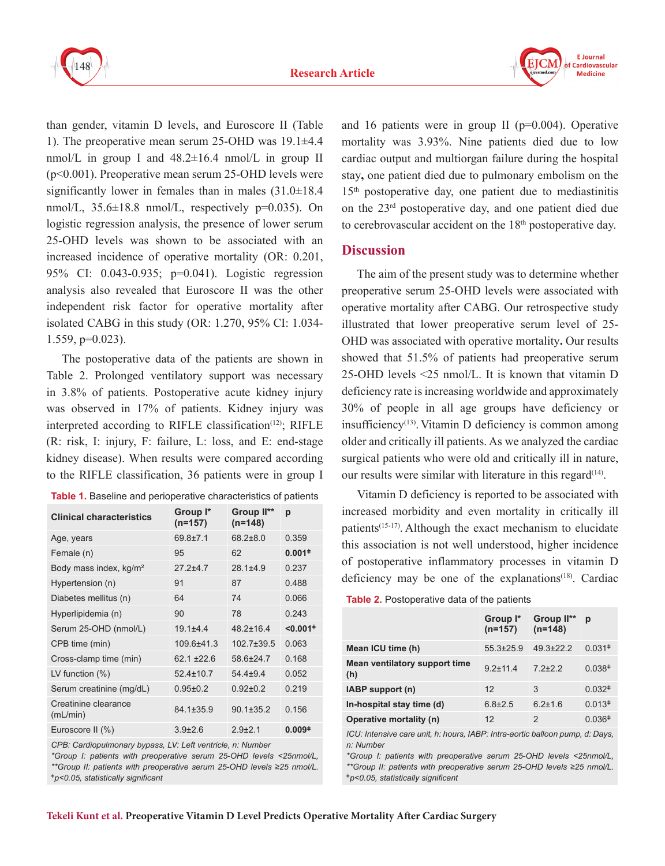

than gender, vitamin D levels, and Euroscore II (Table 1). The preoperative mean serum 25-OHD was 19.1±4.4 nmol/L in group I and  $48.2 \pm 16.4$  nmol/L in group II (p<0.001). Preoperative mean serum 25-OHD levels were significantly lower in females than in males (31.0±18.4 nmol/L,  $35.6\pm18.8$  nmol/L, respectively  $p=0.035$ ). On logistic regression analysis, the presence of lower serum 25-OHD levels was shown to be associated with an increased incidence of operative mortality (OR: 0.201, 95% CI: 0.043-0.935; p=0.041). Logistic regression analysis also revealed that Euroscore II was the other independent risk factor for operative mortality after isolated CABG in this study (OR: 1.270, 95% CI: 1.034- 1.559, p=0.023).

The postoperative data of the patients are shown in Table 2. Prolonged ventilatory support was necessary in 3.8% of patients. Postoperative acute kidney injury was observed in 17% of patients. Kidney injury was interpreted according to RIFLE classification<sup>(12)</sup>; RIFLE (R: risk, I: injury, F: failure, L: loss, and E: end-stage kidney disease). When results were compared according to the RIFLE classification, 36 patients were in group I

| <b>Table 1.</b> Baseline and perioperative characteristics of patients |  |
|------------------------------------------------------------------------|--|
|------------------------------------------------------------------------|--|

| <b>Clinical characteristics</b>    | Group I*<br>$(n=157)$ | Group II**<br>$(n=148)$ | р                                     |
|------------------------------------|-----------------------|-------------------------|---------------------------------------|
| Age, years                         | $69.8 + 7.1$          | $68.2 + 8.0$            | 0.359                                 |
| Female (n)                         | 95                    | 62                      | $0.001+$                              |
| Body mass index, kg/m <sup>2</sup> | $272+47$              | $28.1 \pm 4.9$          | 0.237                                 |
| Hypertension (n)                   | 91                    | 87                      | 0.488                                 |
| Diabetes mellitus (n)              | 64                    | 74                      | 0.066                                 |
| Hyperlipidemia (n)                 | 90                    | 78                      | 0.243                                 |
| Serum 25-OHD (nmol/L)              | $19.1 + 4.4$          | $48.2 \pm 16.4$         | $< 0.001$ <sup><math>\pm</math></sup> |
| CPB time (min)                     | 109.6±41.3            | $102.7 \pm 39.5$        | 0.063                                 |
| Cross-clamp time (min)             | $62.1 + 22.6$         | 58.6±24.7               | 0.168                                 |
| LV function $(\%)$                 | $52.4 \pm 10.7$       | $54.4 + 9.4$            | 0.052                                 |
| Serum creatinine (mg/dL)           | $0.95 \pm 0.2$        | $0.92 \pm 0.2$          | 0.219                                 |
| Creatinine clearance<br>(mL/min)   | 84.1±35.9             | $90.1 \pm 35.2$         | 0.156                                 |
| Euroscore II (%)                   | $3.9{\pm}2.6$         | $2.9 + 2.1$             | $0.009+$                              |

*CPB: Cardiopulmonary bypass, LV: Left ventricle, n: Number*

*\*Group I: patients with preoperative serum 25-OHD levels <25nmol/L, \*\*Group II: patients with preoperative serum 25-OHD levels ≥25 nmol/L. ǂp<0.05, statistically significant*

and 16 patients were in group II ( $p=0.004$ ). Operative mortality was 3.93%. Nine patients died due to low cardiac output and multiorgan failure during the hospital stay**,** one patient died due to pulmonary embolism on the 15th postoperative day, one patient due to mediastinitis on the 23rd postoperative day, and one patient died due to cerebrovascular accident on the  $18<sup>th</sup>$  postoperative day.

#### **Discussion**

The aim of the present study was to determine whether preoperative serum 25-OHD levels were associated with operative mortality after CABG. Our retrospective study illustrated that lower preoperative serum level of 25- OHD was associated with operative mortality**.** Our results showed that 51.5% of patients had preoperative serum 25-OHD levels <25 nmol/L. It is known that vitamin D deficiency rate is increasing worldwide and approximately 30% of people in all age groups have deficiency or insufficiency<sup> $(13)$ </sup>. Vitamin D deficiency is common among older and critically ill patients. As we analyzed the cardiac surgical patients who were old and critically ill in nature, our results were similar with literature in this regard $(14)$ .

Vitamin D deficiency is reported to be associated with increased morbidity and even mortality in critically ill patients $(15-17)$ . Although the exact mechanism to elucidate this association is not well understood, higher incidence of postoperative inflammatory processes in vitamin D deficiency may be one of the explanations<sup> $(18)$ </sup>. Cardiac

**Table 2.** Postoperative data of the patients

|                                      | Group I*<br>$(n=157)$ | Group II**<br>$(n=148)$ | р                  |
|--------------------------------------|-----------------------|-------------------------|--------------------|
| Mean ICU time (h)                    | $55.3\pm25.9$         | $49.3 \pm 22.2$         | $0.031*$           |
| Mean ventilatory support time<br>(h) | $9.2 + 11.4$          | $72+22$                 | 0.038 <sup>‡</sup> |
| IABP support (n)                     | 12                    | 3                       | $0.032*$           |
| In-hospital stay time (d)            | $6.8{\pm}2.5$         | $6.2 \pm 1.6$           | $0.013*$           |
| Operative mortality (n)              | 12                    | 2                       | $0.036*$           |

*ICU: Intensive care unit, h: hours, IABP: Intra-aortic balloon pump, d: Days, n: Number*

*\*Group I: patients with preoperative serum 25-OHD levels <25nmol/L, \*\*Group II: patients with preoperative serum 25-OHD levels ≥25 nmol/L. ǂp<0.05, statistically significant*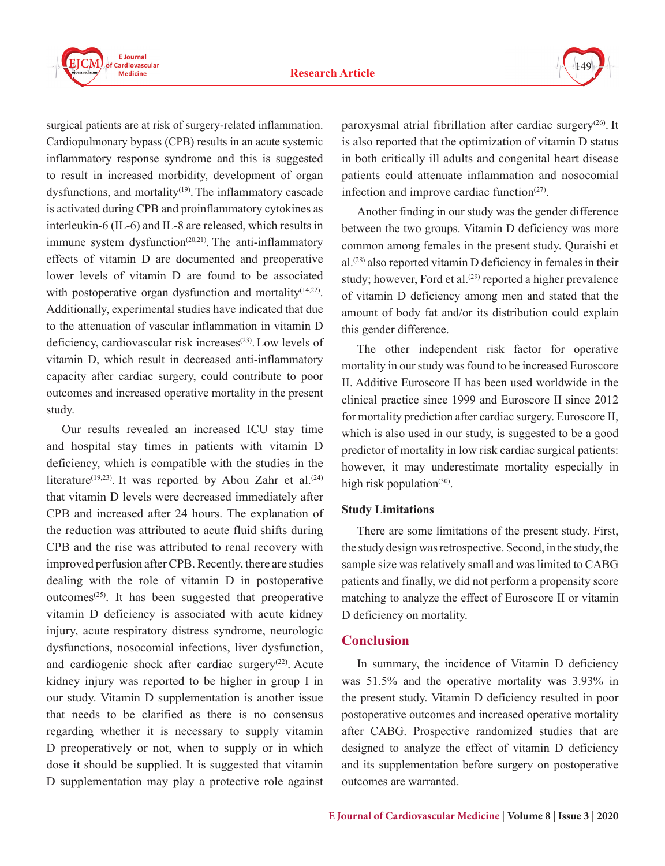

surgical patients are at risk of surgery-related inflammation. Cardiopulmonary bypass (CPB) results in an acute systemic inflammatory response syndrome and this is suggested to result in increased morbidity, development of organ dysfunctions, and mortality<sup>(19)</sup>. The inflammatory cascade is activated during CPB and proinflammatory cytokines as interleukin-6 (IL-6) and IL-8 are released, which results in immune system dysfunction $(20,21)$ . The anti-inflammatory effects of vitamin D are documented and preoperative lower levels of vitamin D are found to be associated with postoperative organ dysfunction and mortality<sup>(14,22)</sup>. Additionally, experimental studies have indicated that due to the attenuation of vascular inflammation in vitamin D deficiency, cardiovascular risk increases<sup>(23)</sup>. Low levels of vitamin D, which result in decreased anti-inflammatory capacity after cardiac surgery, could contribute to poor outcomes and increased operative mortality in the present study.

Our results revealed an increased ICU stay time and hospital stay times in patients with vitamin D deficiency, which is compatible with the studies in the literature<sup>(19,23)</sup>. It was reported by Abou Zahr et al.<sup>(24)</sup> that vitamin D levels were decreased immediately after CPB and increased after 24 hours. The explanation of the reduction was attributed to acute fluid shifts during CPB and the rise was attributed to renal recovery with improved perfusion after CPB. Recently, there are studies dealing with the role of vitamin D in postoperative outcomes<sup> $(25)$ </sup>. It has been suggested that preoperative vitamin D deficiency is associated with acute kidney injury, acute respiratory distress syndrome, neurologic dysfunctions, nosocomial infections, liver dysfunction, and cardiogenic shock after cardiac surgery $(22)$ . Acute kidney injury was reported to be higher in group I in our study. Vitamin D supplementation is another issue that needs to be clarified as there is no consensus regarding whether it is necessary to supply vitamin D preoperatively or not, when to supply or in which dose it should be supplied. It is suggested that vitamin D supplementation may play a protective role against

paroxysmal atrial fibrillation after cardiac surgery(26). It is also reported that the optimization of vitamin D status in both critically ill adults and congenital heart disease patients could attenuate inflammation and nosocomial infection and improve cardiac function $(27)$ .

Another finding in our study was the gender difference between the two groups. Vitamin D deficiency was more common among females in the present study. Quraishi et al.(28) also reported vitamin D deficiency in females in their study; however, Ford et al.<sup> $(29)$ </sup> reported a higher prevalence of vitamin D deficiency among men and stated that the amount of body fat and/or its distribution could explain this gender difference.

The other independent risk factor for operative mortality in our study was found to be increased Euroscore II. Additive Euroscore II has been used worldwide in the clinical practice since 1999 and Euroscore II since 2012 for mortality prediction after cardiac surgery. Euroscore II, which is also used in our study, is suggested to be a good predictor of mortality in low risk cardiac surgical patients: however, it may underestimate mortality especially in high risk population $(30)$ .

#### **Study Limitations**

There are some limitations of the present study. First, the study design was retrospective. Second, in the study, the sample size was relatively small and was limited to CABG patients and finally, we did not perform a propensity score matching to analyze the effect of Euroscore II or vitamin D deficiency on mortality.

## **Conclusion**

In summary, the incidence of Vitamin D deficiency was 51.5% and the operative mortality was 3.93% in the present study. Vitamin D deficiency resulted in poor postoperative outcomes and increased operative mortality after CABG. Prospective randomized studies that are designed to analyze the effect of vitamin D deficiency and its supplementation before surgery on postoperative outcomes are warranted.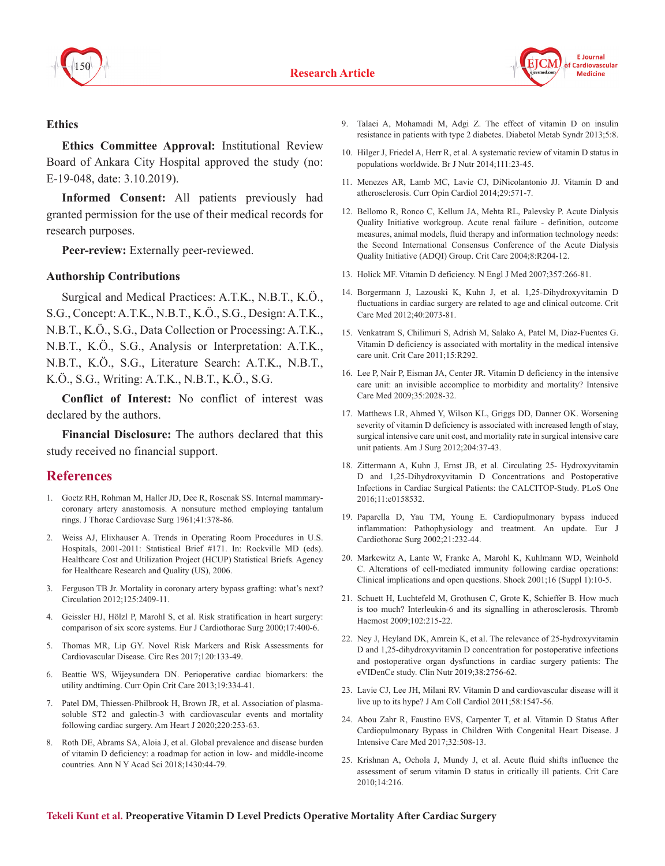



#### **Ethics**

**Ethics Committee Approval:** Institutional Review Board of Ankara City Hospital approved the study (no: E-19-048, date: 3.10.2019).

**Informed Consent:** All patients previously had granted permission for the use of their medical records for research purposes.

**Peer-review:** Externally peer-reviewed.

#### **Authorship Contributions**

Surgical and Medical Practices: A.T.K., N.B.T., K.Ö., S.G., Concept:A.T.K., N.B.T., K.Ö., S.G., Design:A.T.K., N.B.T., K.Ö., S.G., Data Collection or Processing: A.T.K., N.B.T., K.Ö., S.G., Analysis or Interpretation: A.T.K., N.B.T., K.Ö., S.G., Literature Search: A.T.K., N.B.T., K.Ö., S.G., Writing: A.T.K., N.B.T., K.Ö., S.G.

**Conflict of Interest:** No conflict of interest was declared by the authors.

**Financial Disclosure:** The authors declared that this study received no financial support.

## **References**

- 1. Goetz RH, Rohman M, Haller JD, Dee R, Rosenak SS. Internal mammarycoronary artery anastomosis. A nonsuture method employing tantalum rings. J Thorac Cardiovasc Surg 1961;41:378-86.
- 2. Weiss AJ, Elixhauser A. Trends in Operating Room Procedures in U.S. Hospitals, 2001-2011: Statistical Brief #171. In: Rockville MD (eds). Healthcare Cost and Utilization Project (HCUP) Statistical Briefs. Agency for Healthcare Research and Quality (US), 2006.
- 3. Ferguson TB Jr. Mortality in coronary artery bypass grafting: what's next? Circulation 2012;125:2409-11.
- 4. Geissler HJ, Hölzl P, Marohl S, et al. Risk stratification in heart surgery: comparison of six score systems. Eur J Cardiothorac Surg 2000;17:400-6.
- 5. Thomas MR, Lip GY. Novel Risk Markers and Risk Assessments for Cardiovascular Disease. Circ Res 2017;120:133-49.
- 6. Beattie WS, Wijeysundera DN. Perioperative cardiac biomarkers: the utility andtiming. Curr Opin Crit Care 2013;19:334-41.
- 7. Patel DM, Thiessen-Philbrook H, Brown JR, et al. Association of plasmasoluble ST2 and galectin-3 with cardiovascular events and mortality following cardiac surgery. Am Heart J 2020;220:253-63.
- 8. Roth DE, Abrams SA, Aloia J, et al. Global prevalence and disease burden of vitamin D deficiency: a roadmap for action in low- and middle-income countries. Ann N Y Acad Sci 2018;1430:44-79.
- 9. Talaei A, Mohamadi M, Adgi Z. The effect of vitamin D on insulin resistance in patients with type 2 diabetes. Diabetol Metab Syndr 2013;5:8.
- 10. Hilger J, Friedel A, Herr R, et al. A systematic review of vitamin D status in populations worldwide. Br J Nutr 2014;111:23-45.
- 11. Menezes AR, Lamb MC, Lavie CJ, DiNicolantonio JJ. Vitamin D and atherosclerosis. Curr Opin Cardiol 2014;29:571-7.
- 12. Bellomo R, Ronco C, Kellum JA, Mehta RL, Palevsky P. Acute Dialysis Quality Initiative workgroup. Acute renal failure - definition, outcome measures, animal models, fluid therapy and information technology needs: the Second International Consensus Conference of the Acute Dialysis Quality Initiative (ADQI) Group. Crit Care 2004;8:R204-12.
- 13. Holick MF. Vitamin D deficiency. N Engl J Med 2007;357:266-81.
- 14. Borgermann J, Lazouski K, Kuhn J, et al. 1,25-Dihydroxyvitamin D fluctuations in cardiac surgery are related to age and clinical outcome. Crit Care Med 2012;40:2073-81.
- 15. Venkatram S, Chilimuri S, Adrish M, Salako A, Patel M, Diaz-Fuentes G. Vitamin D deficiency is associated with mortality in the medical intensive care unit. Crit Care 2011;15:R292.
- 16. Lee P, Nair P, Eisman JA, Center JR. Vitamin D deficiency in the intensive care unit: an invisible accomplice to morbidity and mortality? Intensive Care Med 2009;35:2028-32.
- 17. Matthews LR, Ahmed Y, Wilson KL, Griggs DD, Danner OK. Worsening severity of vitamin D deficiency is associated with increased length of stay, surgical intensive care unit cost, and mortality rate in surgical intensive care unit patients. Am J Surg 2012;204:37-43.
- 18. Zittermann A, Kuhn J, Ernst JB, et al. Circulating 25- Hydroxyvitamin D and 1,25-Dihydroxyvitamin D Concentrations and Postoperative Infections in Cardiac Surgical Patients: the CALCITOP-Study. PLoS One 2016;11:e0158532.
- 19. Paparella D, Yau TM, Young E. Cardiopulmonary bypass induced inflammation: Pathophysiology and treatment. An update. Eur J Cardiothorac Surg 2002;21:232-44.
- 20. Markewitz A, Lante W, Franke A, Marohl K, Kuhlmann WD, Weinhold C. Alterations of cell-mediated immunity following cardiac operations: Clinical implications and open questions. Shock 2001;16 (Suppl 1):10-5.
- 21. Schuett H, Luchtefeld M, Grothusen C, Grote K, Schieffer B. How much is too much? Interleukin-6 and its signalling in atherosclerosis. Thromb Haemost 2009;102:215-22.
- 22. Ney J, Heyland DK, Amrein K, et al. The relevance of 25-hydroxyvitamin D and 1,25-dihydroxyvitamin D concentration for postoperative infections and postoperative organ dysfunctions in cardiac surgery patients: The eVIDenCe study. Clin Nutr 2019;38:2756-62.
- 23. Lavie CJ, Lee JH, Milani RV. Vitamin D and cardiovascular disease will it live up to its hype? J Am Coll Cardiol 2011;58:1547-56.
- 24. Abou Zahr R, Faustino EVS, Carpenter T, et al. Vitamin D Status After Cardiopulmonary Bypass in Children With Congenital Heart Disease. J Intensive Care Med 2017;32:508-13.
- 25. Krishnan A, Ochola J, Mundy J, et al. Acute fluid shifts influence the assessment of serum vitamin D status in critically ill patients. Crit Care 2010;14:216.